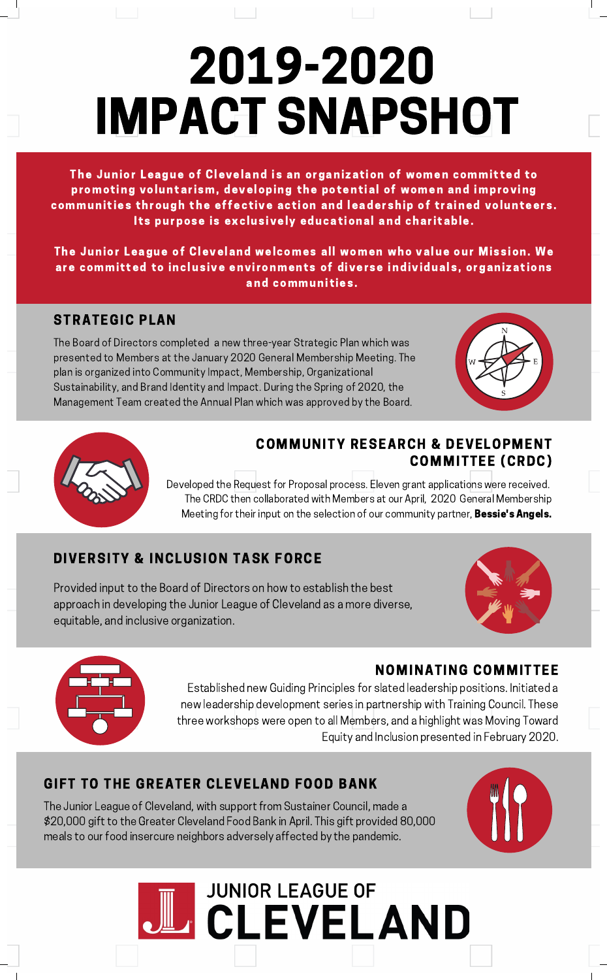# 2019-2020 IMPACT SNAPSHOT

The Junior League of Cleveland is an organization of women committed to promoting voluntarism, developing the potential of women and improving communities through the effective action and leadership of trained volunteers. Its purpose is exclusively educational and charitable.

The Junior League of Cleveland welcomes all women who value our Mission. We are committed to inclusive environments of diverse individuals, organizations and communities.

## STRATEGIC PLAN

The Board of Directors completed a new three-year Strategic Plan which was presented to Members at the January 2020 General Membership Meeting. The plan is organized into Community Impact, Membership, Organizational Sustainability, and Brand Identity and Impact. During the Spring of 2020, the Management Team created the Annual Plan which was approved by the Board.





### COMMUNITY RESEARCH & DEVELOPMENT COMMITTEE (CRDC)

Developed the Request for Proposal process. Eleven grant applications were received. The CRDC then collaborated with Members at our April, 2020 General Membership Meeting for their input on the selection of our community partner, **Bessie's Angels.** 

## DIVERSITY & INCLUSION TASK FORCE

Provided input to the Board of Directors on how to establish the best approach in developing the Junior League of Cleveland as a more diverse, equitable, and inclusive organization.





### NOMINATING COMMITTEE

Established new Guiding Principles for slated leadership positions. Initiated a new leadership development series in partnership with Training Council. These three workshops were open to all Members, and a highlight was Moving Toward Equity and Inclusion presented in February 2020.

## GIFT TO THE GREATER CLEVELAND FOOD BANK

The Junior League of Cleveland, with support from Sustainer Council, made a \$20,000 gift to the Greater Cleveland Food Bank in April. This gift provided 80,000 meals to our food insercure neighbors adversely affected by the pandemic.